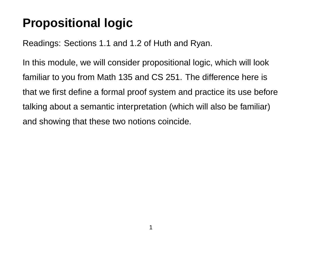# **Propositional logic**

Readings: Sections 1.1 and 1.2 of Huth and Ryan.

In this module, we will consider propositional logic, which will look familiar to you from Math 135 and CS 251. The difference here is that we first define a formal proof system and practice its use before talking about a semantic interpretation (which will also be familiar) and showing that these two notions coincide.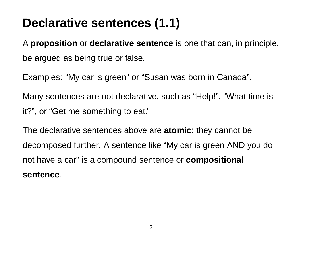# **Declarative sentences (1.1)**

A **proposition** or **declarative sentence** is one that can, in principle, be argued as being true or false.

Examples: "My car is green" or "Susan was born in Canada".

Many sentences are not declarative, such as "Help!", "What time is it?", or "Get me something to eat."

The declarative sentences above are **atomic**; they cannot be decomposed further. A sentence like "My car is green AND you do not have a car" is a compound sentence or **compositional sentence**.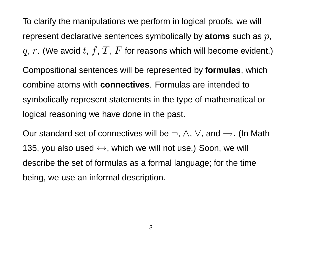To clarify the manipulations we perform in logical proofs, we will represent declarative sentences symbolically by **atoms** such as p, q, r. (We avoid t, f, T, F for reasons which will become evident.)

Compositional sentences will be represented by **formulas**, which combine atoms with **connectives**. Formulas are intended to symbolically represent statements in the type of mathematical or logical reasoning we have done in the past.

Our standard set of connectives will be  $\neg$ ,  $\wedge$ ,  $\vee$ , and  $\rightarrow$ . (In Math 135, you also used  $\leftrightarrow$ , which we will not use.) Soon, we will describe the set of formulas as a formal language; for the time being, we use an informal description.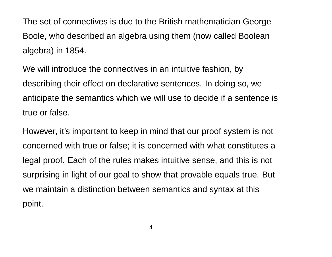The set of connectives is due to the British mathematician George Boole, who described an algebra using them (now called Boolean algebra) in 1854.

We will introduce the connectives in an intuitive fashion, by describing their effect on declarative sentences. In doing so, we anticipate the semantics which we will use to decide if a sentence is true or false.

However, it's important to keep in mind that our proof system is not concerned with true or false; it is concerned with what constitutes a legal proof. Each of the rules makes intuitive sense, and this is not surprising in light of our goal to show that provable equals true. But we maintain a distinction between semantics and syntax at this point.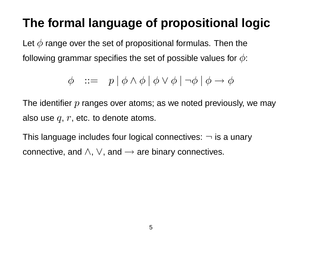# **The formal language of propositional logic**

Let  $\phi$  range over the set of propositional formulas. Then the following grammar specifies the set of possible values for  $\phi$ :

$$
\phi \quad ::= \quad p \mid \phi \land \phi \mid \phi \lor \phi \mid \neg \phi \mid \phi \to \phi
$$

The identifier  $p$  ranges over atoms; as we noted previously, we may also use  $q, r$ , etc. to denote atoms.

This language includes four logical connectives:  $\neg$  is a unary connective, and  $\land$ ,  $\lor$ , and  $\rightarrow$  are binary connectives.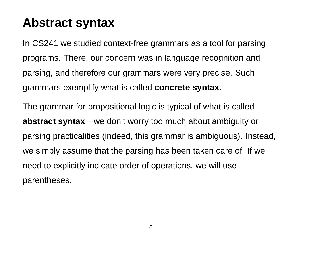### **Abstract syntax**

In CS241 we studied context-free grammars as a tool for parsing programs. There, our concern was in language recognition and parsing, and therefore our grammars were very precise. Such grammars exemplify what is called **concrete syntax**.

The grammar for propositional logic is typical of what is called **abstract syntax**—we don't worry too much about ambiguity or parsing practicalities (indeed, this grammar is ambiguous). Instead, we simply assume that the parsing has been taken care of. If we need to explicitly indicate order of operations, we will use parentheses.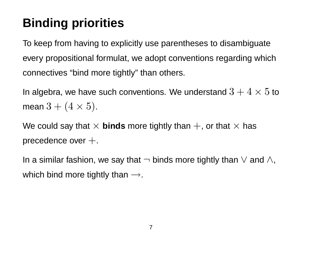# **Binding priorities**

To keep from having to explicitly use parentheses to disambiguate every propositional formulat, we adopt conventions regarding which connectives "bind more tightly" than others.

In algebra, we have such conventions. We understand  $3 + 4 \times 5$  to mean  $3 + (4 \times 5)$ .

We could say that  $\times$  **binds** more tightly than  $+$ , or that  $\times$  has precedence over  $+$ .

In a similar fashion, we say that  $\neg$  binds more tightly than  $\vee$  and  $\wedge$ , which bind more tightly than  $\rightarrow$ .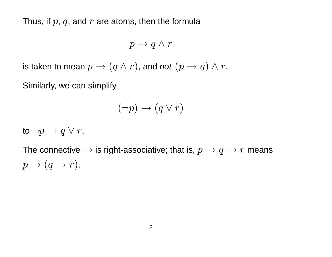Thus, if  $p$ ,  $q$ , and  $r$  are atoms, then the formula

$$
p \to q \wedge r
$$

is taken to mean  $p \rightarrow (q \wedge r)$ , and not  $(p \rightarrow q) \wedge r$ .

Similarly, we can simplify

$$
(\neg p) \to (q \lor r)
$$

to  $\neg p \rightarrow q \lor r$ .

The connective  $\rightarrow$  is right-associative; that is,  $p \rightarrow q \rightarrow r$  means  $p \rightarrow (q \rightarrow r).$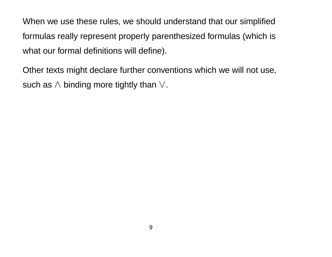When we use these rules, we should understand that our simplified formulas really represent properly parenthesized formulas (which is what our formal definitions will define).

Other texts might declare further conventions which we will not use, such as  $\land$  binding more tightly than  $\lor$ .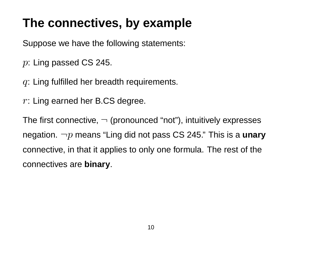## **The connectives, by example**

Suppose we have the following statements:

- p: Ling passed CS 245.
- $q$ : Ling fulfilled her breadth requirements.
- $r:$  Ling earned her B.CS degree.

The first connective,  $\neg$  (pronounced "not"), intuitively expresses negation. ¬p means "Ling did not pass CS 245." This is a **unary** connective, in that it applies to only one formula. The rest of the connectives are **binary**.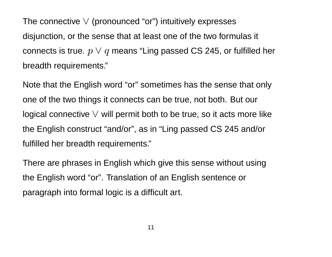The connective  $\vee$  (pronounced "or") intuitively expresses disjunction, or the sense that at least one of the two formulas it connects is true.  $p \vee q$  means "Ling passed CS 245, or fulfilled her breadth requirements."

Note that the English word "or" sometimes has the sense that only one of the two things it connects can be true, not both. But our logical connective  $\vee$  will permit both to be true, so it acts more like the English construct "and/or", as in "Ling passed CS 245 and/or fulfilled her breadth requirements."

There are phrases in English which give this sense without using the English word "or". Translation of an English sentence or paragraph into formal logic is a difficult art.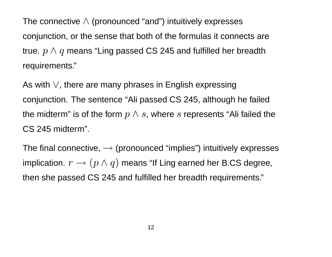The connective  $\wedge$  (pronounced "and") intuitively expresses conjunction, or the sense that both of the formulas it connects are true.  $p \wedge q$  means "Ling passed CS 245 and fulfilled her breadth requirements."

As with ∨, there are many phrases in English expressing conjunction. The sentence "Ali passed CS 245, although he failed the midterm" is of the form  $p \wedge s$ , where s represents "Ali failed the CS 245 midterm".

The final connective,  $\rightarrow$  (pronounced "implies") intuitively expresses implication.  $r \rightarrow (p \wedge q)$  means "If Ling earned her B.CS degree, then she passed CS 245 and fulfilled her breadth requirements."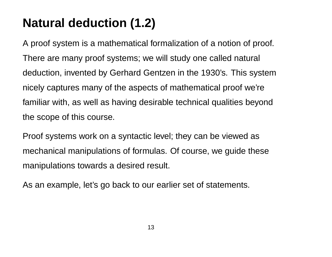# **Natural deduction (1.2)**

A proof system is a mathematical formalization of a notion of proof. There are many proof systems; we will study one called natural deduction, invented by Gerhard Gentzen in the 1930's. This system nicely captures many of the aspects of mathematical proof we're familiar with, as well as having desirable technical qualities beyond the scope of this course.

Proof systems work on a syntactic level; they can be viewed as mechanical manipulations of formulas. Of course, we guide these manipulations towards a desired result.

As an example, let's go back to our earlier set of statements.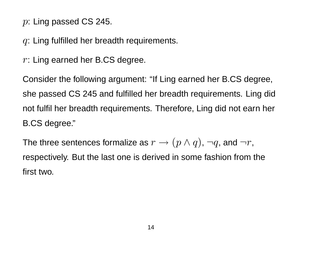#### $p:$  Ling passed CS 245.

#### $q$ : Ling fulfilled her breadth requirements.

 $r:$  Ling earned her B.CS degree.

Consider the following argument: "If Ling earned her B.CS degree, she passed CS 245 and fulfilled her breadth requirements. Ling did not fulfil her breadth requirements. Therefore, Ling did not earn her B.CS degree."

The three sentences formalize as  $r\to (p\wedge q)$ ,  $\neg q$ , and  $\neg r,$ respectively. But the last one is derived in some fashion from the first two.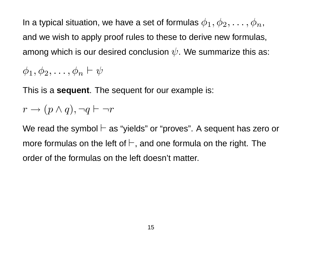In a typical situation, we have a set of formulas  $\phi_1, \phi_2, \ldots, \phi_n$ , and we wish to apply proof rules to these to derive new formulas, among which is our desired conclusion  $\psi$ . We summarize this as:

 $\phi_1, \phi_2, \ldots, \phi_n \vdash \psi$ 

This is a **sequent**. The sequent for our example is:

$$
r \to (p \land q), \neg q \vdash \neg r
$$

We read the symbol  $\vdash$  as "yields" or "proves". A sequent has zero or more formulas on the left of  $\vdash$ , and one formula on the right. The order of the formulas on the left doesn't matter.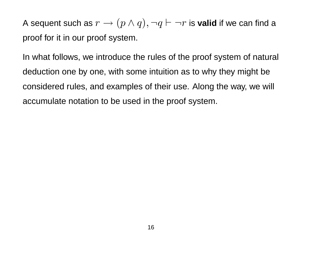A sequent such as  $r \to (p \wedge q), \neg q \vdash \neg r$  is **valid** if we can find a proof for it in our proof system.

In what follows, we introduce the rules of the proof system of natural deduction one by one, with some intuition as to why they might be considered rules, and examples of their use. Along the way, we will accumulate notation to be used in the proof system.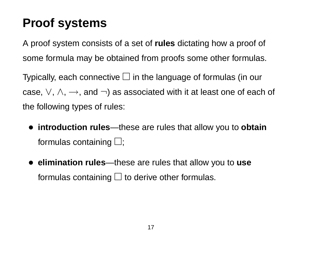## **Proof systems**

A proof system consists of a set of **rules** dictating how a proof of some formula may be obtained from proofs some other formulas.

Typically, each connective  $\Box$  in the language of formulas (in our case,  $\vee$ ,  $\wedge$ ,  $\rightarrow$ , and  $\neg$ ) as associated with it at least one of each of the following types of rules:

- **introduction rules**—these are rules that allow you to **obtain** formulas containing  $\Box$ ;
- **elimination rules**—these are rules that allow you to **use** formulas containing  $\Box$  to derive other formulas.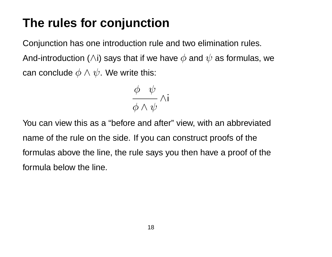## **The rules for conjunction**

Conjunction has one introduction rule and two elimination rules. And-introduction ( $\wedge$ i) says that if we have  $\phi$  and  $\psi$  as formulas, we can conclude  $\phi \land \psi$ . We write this:

$$
\frac{\phi\quad \psi}{\phi \wedge \psi} \wedge i
$$

You can view this as a "before and after" view, with an abbreviated name of the rule on the side. If you can construct proofs of the formulas above the line, the rule says you then have a proof of the formula below the line.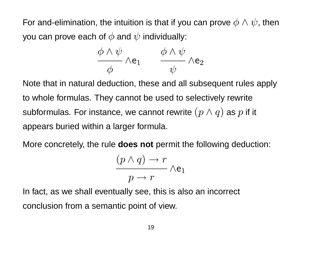For and-elimination, the intuition is that if you can prove  $\phi \wedge \psi$ , then you can prove each of  $\phi$  and  $\psi$  individually:

$$
\frac{\phi \wedge \psi}{\phi} \wedge \mathsf{e}_1 \qquad \frac{\phi \wedge \psi}{\psi} \wedge \mathsf{e}_2
$$

Note that in natural deduction, these and all subsequent rules apply to whole formulas. They cannot be used to selectively rewrite subformulas. For instance, we cannot rewrite  $(p \wedge q)$  as  $p$  if it appears buried within a larger formula.

More concretely, the rule **does not** permit the following deduction:

$$
\frac{(p \wedge q) \to r}{p \to r} \wedge e_1
$$

In fact, as we shall eventually see, this is also an incorrect conclusion from a semantic point of view.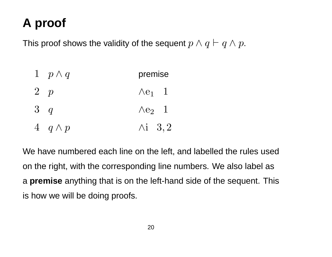# **A proof**

This proof shows the validity of the sequent  $p \wedge q \vdash q \wedge p$ .

| $1 \quad p \wedge q$ | premise                   |
|----------------------|---------------------------|
| $2\quad p$           | $\wedge e_1$ 1            |
| 3q                   | $\wedge$ e <sub>2</sub> 1 |
| 4 $q \wedge p$       | $\wedge i \quad 3, 2$     |

We have numbered each line on the left, and labelled the rules used on the right, with the corresponding line numbers. We also label as a **premise** anything that is on the left-hand side of the sequent. This is how we will be doing proofs.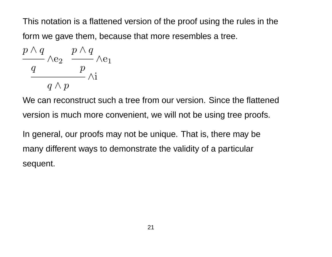This notation is a flattened version of the proof using the rules in the form we gave them, because that more resembles a tree.

$$
\frac{p \wedge q}{\frac{q}{q \wedge p}} \wedge e_2 \xrightarrow{\begin{array}{c} p \wedge q \\ p \\ \wedge i \end{array}} \wedge e_1
$$

We can reconstruct such a tree from our version. Since the flattened version is much more convenient, we will not be using tree proofs.

In general, our proofs may not be unique. That is, there may be many different ways to demonstrate the validity of a particular sequent.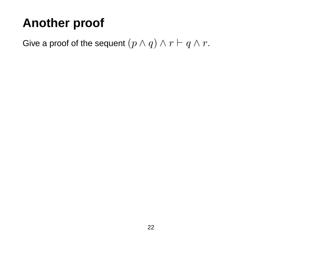# **Another proof**

Give a proof of the sequent  $(p \wedge q) \wedge r \vdash q \wedge r$ .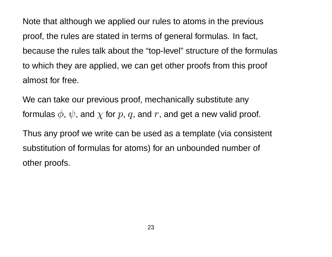Note that although we applied our rules to atoms in the previous proof, the rules are stated in terms of general formulas. In fact, because the rules talk about the "top-level" structure of the formulas to which they are applied, we can get other proofs from this proof almost for free.

We can take our previous proof, mechanically substitute any formulas  $\phi$ ,  $\psi$ , and  $\chi$  for  $p$ ,  $q$ , and  $r$ , and get a new valid proof.

Thus any proof we write can be used as a template (via consistent substitution of formulas for atoms) for an unbounded number of other proofs.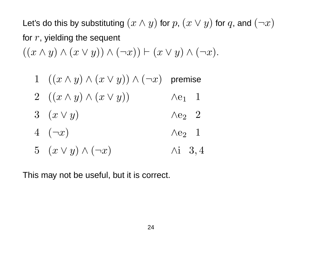Let's do this by substituting  $(x \wedge y)$  for  $p$ ,  $(x \vee y)$  for  $q$ , and  $(\neg x)$ for  $r$ , yielding the sequent  $((x \wedge y) \wedge (x \vee y)) \wedge (\neg x)) \vdash (x \vee y) \wedge (\neg x).$ 

1 
$$
((x \land y) \land (x \lor y)) \land (\neg x)
$$
 premise  
\n2  $((x \land y) \land (x \lor y))$   $\land e_1$  1  
\n3  $(x \lor y)$   $\land e_2$  2  
\n4  $(\neg x)$   $\land e_2$  1  
\n5  $(x \lor y) \land (\neg x)$   $\land i$  3,4

This may not be useful, but it is correct.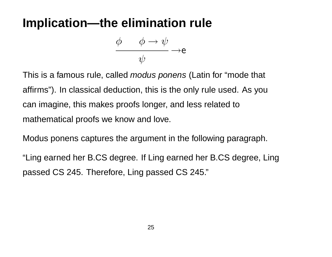### **Implication—the elimination rule**

$$
\frac{\phi \qquad \phi \to \psi}{\psi} \to e
$$

This is a famous rule, called *modus ponens* (Latin for "mode that affirms"). In classical deduction, this is the only rule used. As you can imagine, this makes proofs longer, and less related to mathematical proofs we know and love.

Modus ponens captures the argument in the following paragraph.

"Ling earned her B.CS degree. If Ling earned her B.CS degree, Ling passed CS 245. Therefore, Ling passed CS 245."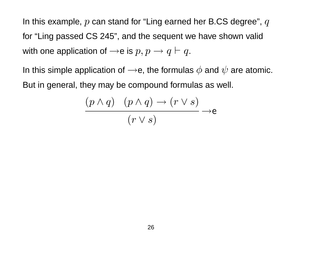In this example,  $p$  can stand for "Ling earned her B.CS degree",  $q$ for "Ling passed CS 245", and the sequent we have shown valid with one application of  $\rightarrow$ e is  $p, p \rightarrow q \vdash q$ .

In this simple application of  $\rightarrow$ e, the formulas  $\phi$  and  $\psi$  are atomic. But in general, they may be compound formulas as well.

$$
\frac{(p \land q) \quad (p \land q) \to (r \lor s)}{(r \lor s)} \to e
$$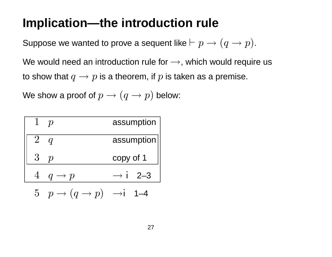### **Implication—the introduction rule**

Suppose we wanted to prove a sequent like  $\vdash p \rightarrow (q \rightarrow p)$ .

We would need an introduction rule for  $\rightarrow$ , which would require us to show that  $q \rightarrow p$  is a theorem, if p is taken as a premise.

We show a proof of  $p \rightarrow (q \rightarrow p)$  below:

| $\mathbf{1}$ | $\mathcal{D}$                                          | assumption          |
|--------------|--------------------------------------------------------|---------------------|
| $2^{\circ}$  |                                                        | assumption          |
| $3^-$        | $\mathcal{D}$                                          | copy of 1           |
|              | $q \rightarrow p$                                      | $\rightarrow i$ 2-3 |
|              | $5\quad p\rightarrow (q\rightarrow p)\quad\rightarrow$ |                     |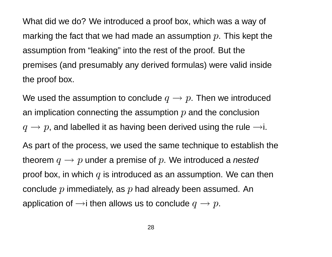What did we do? We introduced a proof box, which was a way of marking the fact that we had made an assumption  $p$ . This kept the assumption from "leaking" into the rest of the proof. But the premises (and presumably any derived formulas) were valid inside the proof box.

We used the assumption to conclude  $q \rightarrow p$ . Then we introduced an implication connecting the assumption  $p$  and the conclusion  $q \rightarrow p$ , and labelled it as having been derived using the rule  $\rightarrow$ i.

As part of the process, we used the same technique to establish the theorem  $q \rightarrow p$  under a premise of p. We introduced a nested proof box, in which  $q$  is introduced as an assumption. We can then conclude  $p$  immediately, as  $p$  had already been assumed. An application of  $\rightarrow$ i then allows us to conclude  $q \rightarrow p$ .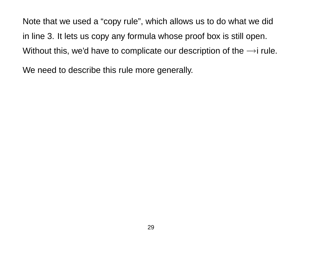Note that we used a "copy rule", which allows us to do what we did in line 3. It lets us copy any formula whose proof box is still open. Without this, we'd have to complicate our description of the  $\rightarrow$ i rule.

We need to describe this rule more generally.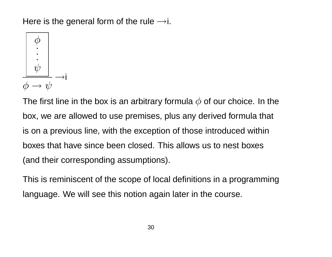Here is the general form of the rule  $\rightarrow$ i.



The first line in the box is an arbitrary formula  $\phi$  of our choice. In the box, we are allowed to use premises, plus any derived formula that is on a previous line, with the exception of those introduced within boxes that have since been closed. This allows us to nest boxes (and their corresponding assumptions).

This is reminiscent of the scope of local definitions in a programming language. We will see this notion again later in the course.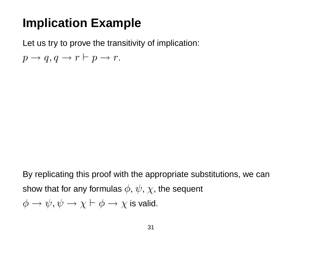### **Implication Example**

Let us try to prove the transitivity of implication:

 $p \rightarrow q, q \rightarrow r \vdash p \rightarrow r.$ 

By replicating this proof with the appropriate substitutions, we can show that for any formulas  $\phi$ ,  $\psi$ ,  $\chi$ , the sequent  $\phi \to \psi, \psi \to \chi \vdash \phi \to \chi$  is valid.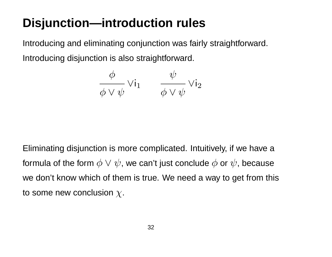# **Disjunction—introduction rules**

Introducing and eliminating conjunction was fairly straightforward. Introducing disjunction is also straightforward.

$$
\frac{\phi}{\phi \vee \psi} \vee i_1 \qquad \frac{\psi}{\phi \vee \psi} \vee i_2
$$

Eliminating disjunction is more complicated. Intuitively, if we have a formula of the form  $\phi \vee \psi$ , we can't just conclude  $\phi$  or  $\psi$ , because we don't know which of them is true. We need a way to get from this to some new conclusion  $\chi$ .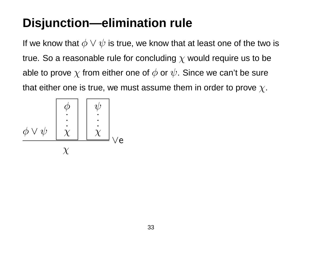# **Disjunction—elimination rule**

If we know that  $\phi \vee \psi$  is true, we know that at least one of the two is true. So a reasonable rule for concluding  $\chi$  would require us to be able to prove  $\chi$  from either one of  $\phi$  or  $\psi$ . Since we can't be sure that either one is true, we must assume them in order to prove  $\chi$ .

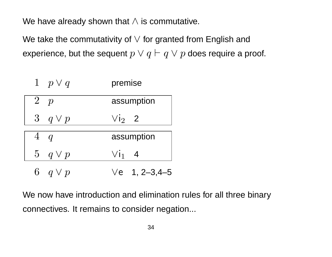We have already shown that  $\wedge$  is commutative.

We take the commutativity of  $\vee$  for granted from English and experience, but the sequent  $p \vee q \vdash q \vee p$  does require a proof.

| 1 $p \vee q$ | premise               |
|--------------|-----------------------|
| 2 p          | assumption            |
| 3 $q \vee p$ | $Vi2$ 2               |
| $4\ q$       | assumption            |
| 5 $q \vee p$ | $V_{11}$ 4            |
| 6 $q \vee p$ | $\sqrt{e}$ 1, 2-3,4-5 |

We now have introduction and elimination rules for all three binary connectives. It remains to consider negation...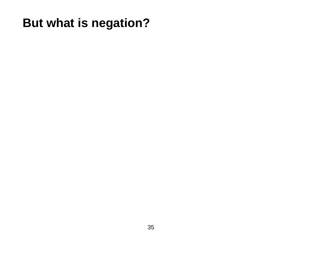# **But what is negation?**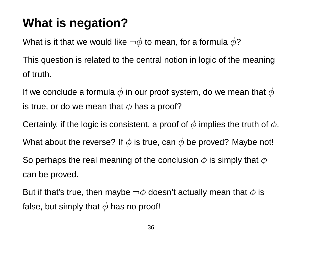# **What is negation?**

What is it that we would like  $\neg \phi$  to mean, for a formula  $\phi$ ?

This question is related to the central notion in logic of the meaning of truth.

If we conclude a formula  $\phi$  in our proof system, do we mean that  $\phi$ is true, or do we mean that  $\phi$  has a proof?

Certainly, if the logic is consistent, a proof of  $\phi$  implies the truth of  $\phi$ .

What about the reverse? If  $\phi$  is true, can  $\phi$  be proved? Maybe not!

So perhaps the real meaning of the conclusion  $\phi$  is simply that  $\phi$ can be proved.

But if that's true, then maybe  $\neg \phi$  doesn't actually mean that  $\phi$  is false, but simply that  $\phi$  has no proof!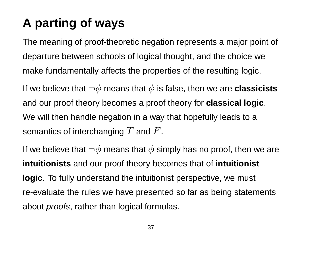# **A parting of ways**

The meaning of proof-theoretic negation represents a major point of departure between schools of logical thought, and the choice we make fundamentally affects the properties of the resulting logic.

If we believe that  $\neg \phi$  means that  $\phi$  is false, then we are **classicists** and our proof theory becomes a proof theory for **classical logic**. We will then handle negation in a way that hopefully leads to a semantics of interchanging  $T$  and  $F$ .

If we believe that  $\neg \phi$  means that  $\phi$  simply has no proof, then we are **intuitionists** and our proof theory becomes that of **intuitionist logic**. To fully understand the intuitionist perspective, we must re-evaluate the rules we have presented so far as being statements about *proofs*, rather than logical formulas.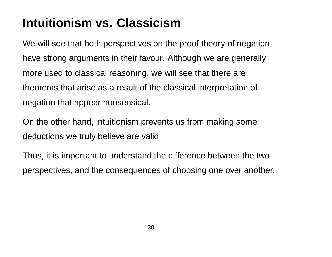## **Intuitionism vs. Classicism**

We will see that both perspectives on the proof theory of negation have strong arguments in their favour. Although we are generally more used to classical reasoning, we will see that there are theorems that arise as a result of the classical interpretation of negation that appear nonsensical.

On the other hand, intuitionism prevents us from making some deductions we truly believe are valid.

Thus, it is important to understand the difference between the two perspectives, and the consequences of choosing one over another.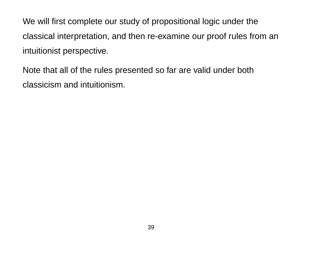We will first complete our study of propositional logic under the classical interpretation, and then re-examine our proof rules from an intuitionist perspective.

Note that all of the rules presented so far are valid under both classicism and intuitionism.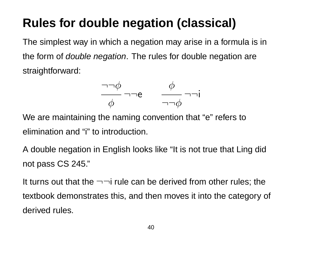## **Rules for double negation (classical)**

The simplest way in which a negation may arise in a formula is in the form of *double negation*. The rules for double negation are straightforward:

$$
\frac{\neg \neg \phi}{\phi} \neg \neg e \qquad \frac{\phi}{\neg \neg \phi} \neg \neg i
$$

We are maintaining the naming convention that "e" refers to elimination and "i" to introduction.

A double negation in English looks like "It is not true that Ling did not pass CS 245."

It turns out that the  $\neg\neg$  rule can be derived from other rules; the textbook demonstrates this, and then moves it into the category of derived rules.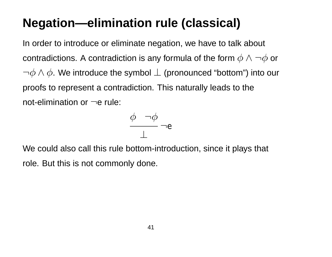## **Negation—elimination rule (classical)**

In order to introduce or eliminate negation, we have to talk about contradictions. A contradiction is any formula of the form  $\phi \wedge \neg \phi$  or  $\neg \phi \wedge \phi$ . We introduce the symbol  $\bot$  (pronounced "bottom") into our proofs to represent a contradiction. This naturally leads to the not-elimination or  $\neg$ e rule:

$$
\frac{\phi \quad \neg \phi}{\perp} \neg e
$$

We could also call this rule bottom-introduction, since it plays that role. But this is not commonly done.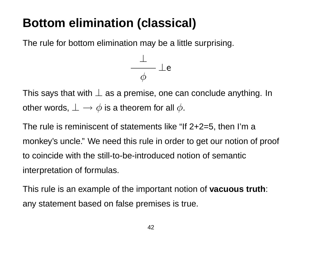## **Bottom elimination (classical)**

The rule for bottom elimination may be a little surprising.



This says that with  $\perp$  as a premise, one can conclude anything. In other words,  $\perp \rightarrow \phi$  is a theorem for all  $\phi$ .

The rule is reminiscent of statements like "If 2+2=5, then I'm a monkey's uncle." We need this rule in order to get our notion of proof to coincide with the still-to-be-introduced notion of semantic interpretation of formulas.

This rule is an example of the important notion of **vacuous truth**: any statement based on false premises is true.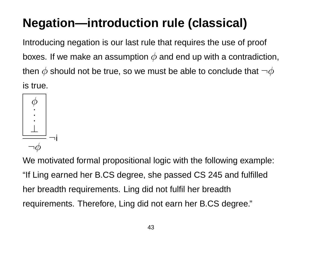# **Negation—introduction rule (classical)**

Introducing negation is our last rule that requires the use of proof boxes. If we make an assumption  $\phi$  and end up with a contradiction, then  $\phi$  should not be true, so we must be able to conclude that  $\neg \phi$ is true.



We motivated formal propositional logic with the following example: "If Ling earned her B.CS degree, she passed CS 245 and fulfilled her breadth requirements. Ling did not fulfil her breadth requirements. Therefore, Ling did not earn her B.CS degree."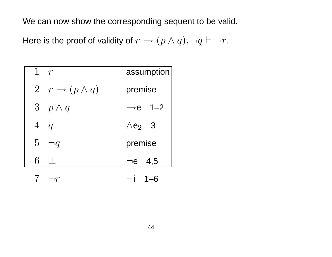We can now show the corresponding sequent to be valid.

Here is the proof of validity of  $r \to (p \land q), \neg q \vdash \neg r$ .

| 1 $r$  |                               |                           | assumption |
|--------|-------------------------------|---------------------------|------------|
|        | 2 $r \rightarrow (p \land q)$ | premise                   |            |
|        | 3 $p \wedge q$                | $\rightarrow e$ 1-2       |            |
| $4\ q$ |                               | $\wedge$ e <sub>2</sub> 3 |            |
|        | $5 \neg q$                    | premise                   |            |
| 6      |                               | $\neg$ e 4,5              |            |
|        | ר $r\,$                       |                           | $1 - 6$    |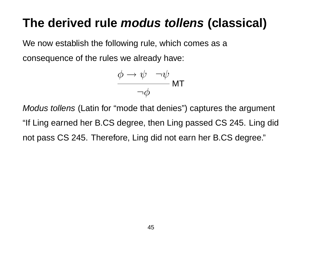#### **The derived rule modus tollens (classical)**

We now establish the following rule, which comes as a

consequence of the rules we already have:

$$
\frac{\phi \to \psi \quad \neg \psi}{\neg \phi} \text{MT}
$$

Modus tollens (Latin for "mode that denies") captures the argument "If Ling earned her B.CS degree, then Ling passed CS 245. Ling did not pass CS 245. Therefore, Ling did not earn her B.CS degree."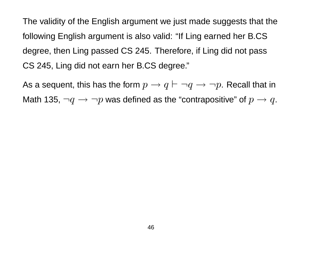The validity of the English argument we just made suggests that the following English argument is also valid: "If Ling earned her B.CS degree, then Ling passed CS 245. Therefore, if Ling did not pass CS 245, Ling did not earn her B.CS degree."

As a sequent, this has the form  $p \to q \vdash \neg q \to \neg p$ . Recall that in Math 135,  $\neg q \rightarrow \neg p$  was defined as the "contrapositive" of  $p \rightarrow q$ .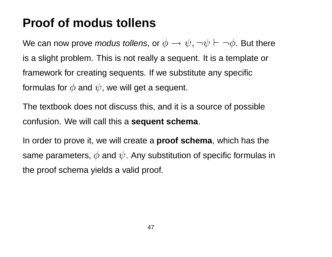#### **Proof of modus tollens**

We can now prove *modus tollens*, or  $\phi \to \psi, \neg \psi \vdash \neg \phi$ . But there is a slight problem. This is not really a sequent. It is a template or framework for creating sequents. If we substitute any specific formulas for  $\phi$  and  $\psi$ , we will get a sequent.

The textbook does not discuss this, and it is a source of possible confusion. We will call this a **sequent schema**.

In order to prove it, we will create a **proof schema**, which has the same parameters,  $\phi$  and  $\psi$ . Any substitution of specific formulas in the proof schema yields a valid proof.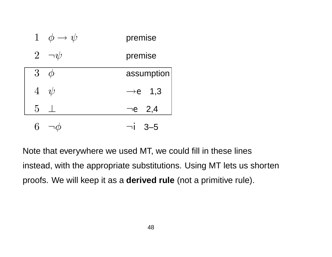| $\mathbf{1}$<br>$\phi \rightarrow \psi$ | premise             |
|-----------------------------------------|---------------------|
| $2\overline{ }$<br>$\neg \psi$          | premise             |
| $\overline{3}$                          | assumption          |
| $4\not\psi$                             | $\rightarrow e$ 1,3 |
| $\overline{5}$                          | $\neg$ e 2,4        |
|                                         | $3 - 5$             |

Note that everywhere we used MT, we could fill in these lines instead, with the appropriate substitutions. Using MT lets us shorten proofs. We will keep it as a **derived rule** (not a primitive rule).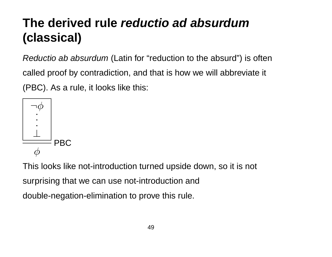## **The derived rule reductio ad absurdum (classical)**

Reductio ab absurdum (Latin for "reduction to the absurd") is often called proof by contradiction, and that is how we will abbreviate it (PBC). As a rule, it looks like this:



This looks like not-introduction turned upside down, so it is not surprising that we can use not-introduction and double-negation-elimination to prove this rule.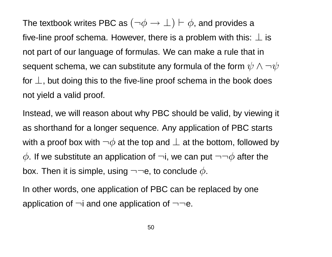The textbook writes PBC as  $(\neg \phi \rightarrow \bot) \vdash \phi$ , and provides a five-line proof schema. However, there is a problem with this:  $\perp$  is not part of our language of formulas. We can make a rule that in sequent schema, we can substitute any formula of the form  $\psi \wedge \neg \psi$ for  $\perp$ , but doing this to the five-line proof schema in the book does not yield a valid proof.

Instead, we will reason about why PBC should be valid, by viewing it as shorthand for a longer sequence. Any application of PBC starts with a proof box with  $\neg \phi$  at the top and  $\bot$  at the bottom, followed by  $\phi$ . If we substitute an application of  $\neg i$ , we can put  $\neg\neg \phi$  after the box. Then it is simple, using  $\neg\neg e$ , to conclude  $\phi$ .

In other words, one application of PBC can be replaced by one application of  $\neg i$  and one application of  $\neg \neg e$ .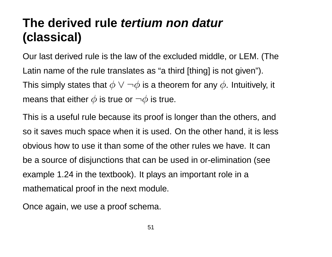### **The derived rule tertium non datur (classical)**

Our last derived rule is the law of the excluded middle, or LEM. (The Latin name of the rule translates as "a third [thing] is not given"). This simply states that  $\phi \lor \neg \phi$  is a theorem for any  $\phi$ . Intuitively, it means that either  $\phi$  is true or  $\neg \phi$  is true.

This is a useful rule because its proof is longer than the others, and so it saves much space when it is used. On the other hand, it is less obvious how to use it than some of the other rules we have. It can be a source of disjunctions that can be used in or-elimination (see example 1.24 in the textbook). It plays an important role in a mathematical proof in the next module.

Once again, we use a proof schema.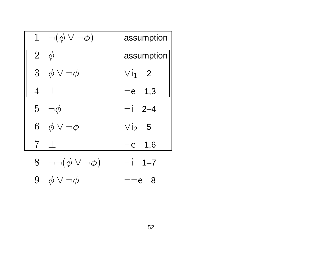|                | $1 \neg (\phi \vee \neg \phi)$    | assumption   |
|----------------|-----------------------------------|--------------|
| $\overline{2}$ | $\phi$                            | assumption   |
|                | 3 $\phi \vee \neg \phi$           | $V1_1$ 2     |
|                | $4\perp$                          | $\neg$ e 1,3 |
|                | $5 - \phi$                        | $\neg i$ 2-4 |
|                | 6 $\phi \vee \neg \phi$           | $Vi2$ 5      |
| $\overline{7}$ |                                   | $\neg$ e 1,6 |
|                | 8 $\neg\neg(\phi \lor \neg \phi)$ | $\neg i$ 1-7 |
|                | 9 $\phi \vee \neg \phi$           | - 8<br>∍ר    |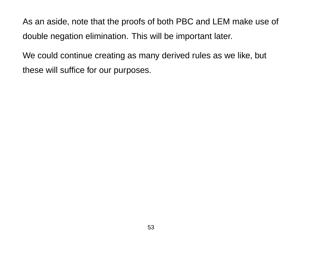As an aside, note that the proofs of both PBC and LEM make use of double negation elimination. This will be important later.

We could continue creating as many derived rules as we like, but these will suffice for our purposes.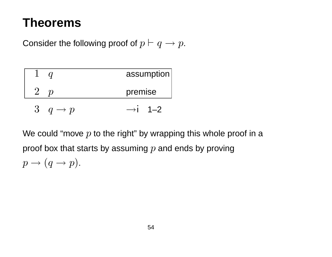#### **Theorems**

Consider the following proof of  $p \vdash q \rightarrow p$ .

|                                                  | assumption          |
|--------------------------------------------------|---------------------|
|                                                  | premise             |
| $\mathcal{S}_{\mathcal{C}}$<br>$q \rightarrow p$ | $\rightarrow$ i 1–2 |

We could "move  $p$  to the right" by wrapping this whole proof in a proof box that starts by assuming  $p$  and ends by proving

$$
p \to (q \to p).
$$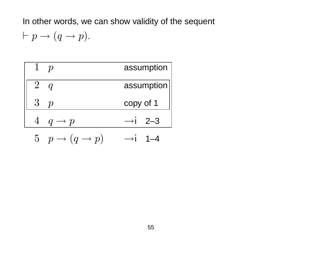In other words, we can show validity of the sequent

 $\vdash p \rightarrow (q \rightarrow p).$ 

|                   | assumption          |
|-------------------|---------------------|
| $2^{\circ}$       | assumption          |
| $3\quad p$        | copy of 1           |
| $q \rightarrow p$ | $\rightarrow$ i 2—3 |

5 
$$
p \rightarrow (q \rightarrow p)
$$
  $\rightarrow i$  1-4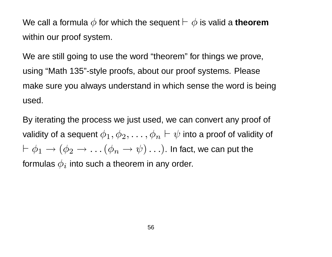We call a formula  $\phi$  for which the sequent  $\vdash \phi$  is valid a **theorem** within our proof system.

We are still going to use the word "theorem" for things we prove, using "Math 135"-style proofs, about our proof systems. Please make sure you always understand in which sense the word is being used.

By iterating the process we just used, we can convert any proof of validity of a sequent  $\phi_1, \phi_2, \ldots, \phi_n \vdash \psi$  into a proof of validity of  $\vdash \phi_1 \rightarrow (\phi_2 \rightarrow \ldots (\phi_n \rightarrow \psi) \ldots)$ . In fact, we can put the formulas  $\phi_i$  into such a theorem in any order.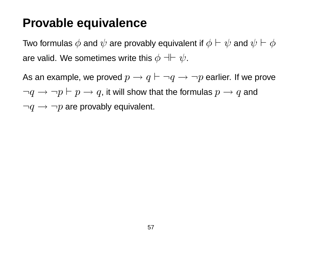#### **Provable equivalence**

Two formulas  $\phi$  and  $\psi$  are provably equivalent if  $\phi \vdash \psi$  and  $\psi \vdash \phi$ are valid. We sometimes write this  $\phi \dashv\vdash \psi$ .

As an example, we proved  $p \rightarrow q \vdash \neg q \rightarrow \neg p$  earlier. If we prove  $\neg q \rightarrow \neg p \vdash p \rightarrow q$ , it will show that the formulas  $p \rightarrow q$  and  $\neg q \rightarrow \neg p$  are provably equivalent.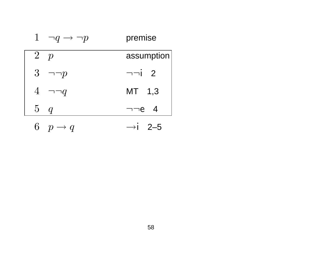| 1<br>$\neg q \rightarrow \neg p$ | premise        |
|----------------------------------|----------------|
| $\overline{2}$<br>p              | assumption     |
| $3\overline{)}$<br>$\neg\neg p$  | $\neg\neg i$ 2 |
| $\overline{4}$<br>$\neg\neg q$   | MT 1,3         |
| 5q                               | $\neg\neg e$ 4 |
| 6<br>$p \rightarrow q$           | →1 2–5         |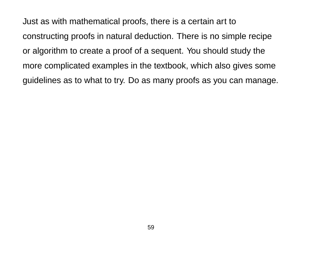Just as with mathematical proofs, there is a certain art to constructing proofs in natural deduction. There is no simple recipe or algorithm to create a proof of a sequent. You should study the more complicated examples in the textbook, which also gives some guidelines as to what to try. Do as many proofs as you can manage.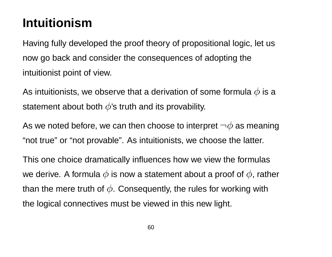### **Intuitionism**

Having fully developed the proof theory of propositional logic, let us now go back and consider the consequences of adopting the intuitionist point of view.

As intuitionists, we observe that a derivation of some formula  $\phi$  is a statement about both  $\phi$ 's truth and its provability.

As we noted before, we can then choose to interpret  $\neg \phi$  as meaning "not true" or "not provable". As intuitionists, we choose the latter.

This one choice dramatically influences how we view the formulas we derive. A formula  $\phi$  is now a statement about a proof of  $\phi$ , rather than the mere truth of  $\phi$ . Consequently, the rules for working with the logical connectives must be viewed in this new light.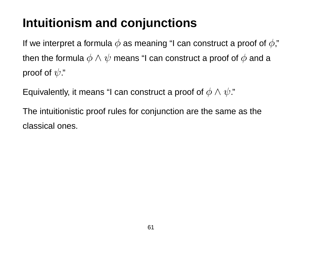## **Intuitionism and conjunctions**

If we interpret a formula  $\phi$  as meaning "I can construct a proof of  $\phi$ ," then the formula  $\phi \wedge \psi$  means "I can construct a proof of  $\phi$  and a proof of  $\psi$ ."

Equivalently, it means "I can construct a proof of  $\phi \wedge \psi$ ."

The intuitionistic proof rules for conjunction are the same as the classical ones.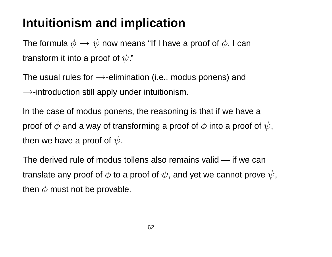### **Intuitionism and implication**

The formula  $\phi \to \psi$  now means "If I have a proof of  $\phi$ , I can transform it into a proof of  $\psi$ ."

The usual rules for  $\rightarrow$ -elimination (i.e., modus ponens) and  $\rightarrow$ -introduction still apply under intuitionism.

In the case of modus ponens, the reasoning is that if we have a proof of  $\phi$  and a way of transforming a proof of  $\phi$  into a proof of  $\psi$ , then we have a proof of  $\psi$ .

The derived rule of modus tollens also remains valid — if we can translate any proof of  $\phi$  to a proof of  $\psi$ , and yet we cannot prove  $\psi$ , then  $\phi$  must not be provable.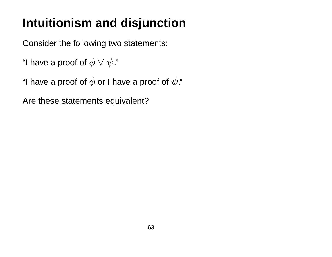## **Intuitionism and disjunction**

Consider the following two statements:

```
"I have a proof of \phi \vee \psi."
```
"I have a proof of  $\phi$  or I have a proof of  $\psi$ ."

Are these statements equivalent?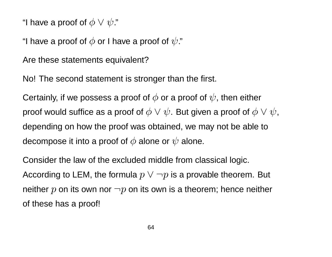"I have a proof of  $\phi \lor \psi$ ."

"I have a proof of  $\phi$  or I have a proof of  $\psi$ ."

Are these statements equivalent?

No! The second statement is stronger than the first.

Certainly, if we possess a proof of  $\phi$  or a proof of  $\psi$ , then either proof would suffice as a proof of  $\phi \lor \psi$ . But given a proof of  $\phi \lor \psi$ , depending on how the proof was obtained, we may not be able to decompose it into a proof of  $\phi$  alone or  $\psi$  alone.

Consider the law of the excluded middle from classical logic. According to LEM, the formula  $p \lor \neg p$  is a provable theorem. But neither  $p$  on its own nor  $\neg p$  on its own is a theorem; hence neither of these has a proof!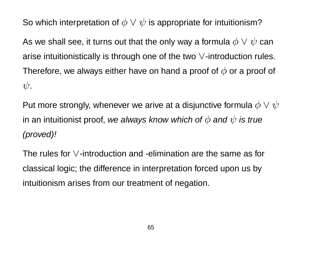So which interpretation of  $\phi \lor \psi$  is appropriate for intuitionism?

As we shall see, it turns out that the only way a formula  $\phi \vee \psi$  can arise intuitionistically is through one of the two ∨-introduction rules. Therefore, we always either have on hand a proof of  $\phi$  or a proof of  $\psi$ .

Put more strongly, whenever we arive at a disjunctive formula  $\phi \vee \psi$ in an intuitionist proof, we always know which of  $\phi$  and  $\psi$  is true (proved)!

The rules for ∨-introduction and -elimination are the same as for classical logic; the difference in interpretation forced upon us by intuitionism arises from our treatment of negation.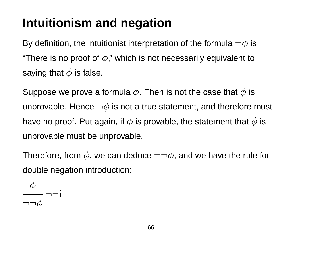### **Intuitionism and negation**

By definition, the intuitionist interpretation of the formula  $\neg \phi$  is "There is no proof of  $\phi$ ," which is not necessarily equivalent to saying that  $\phi$  is false.

Suppose we prove a formula  $\phi$ . Then is not the case that  $\phi$  is unprovable. Hence  $\neg \phi$  is not a true statement, and therefore must have no proof. Put again, if  $\phi$  is provable, the statement that  $\phi$  is unprovable must be unprovable.

Therefore, from  $\phi$ , we can deduce  $\neg\neg\phi$ , and we have the rule for double negation introduction:

 $\phi$ ¬¬i  $\neg\neg\phi$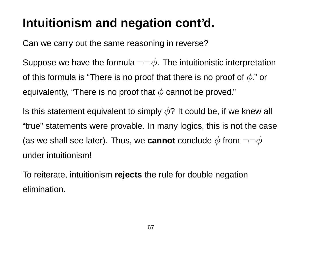### **Intuitionism and negation cont'd.**

Can we carry out the same reasoning in reverse?

Suppose we have the formula  $\neg\neg\phi$ . The intuitionistic interpretation of this formula is "There is no proof that there is no proof of  $\phi$ ," or equivalently, "There is no proof that  $\phi$  cannot be proved."

Is this statement equivalent to simply  $\phi$ ? It could be, if we knew all "true" statements were provable. In many logics, this is not the case (as we shall see later). Thus, we **cannot** conclude  $\phi$  from  $\neg\neg\phi$ under intuitionism!

To reiterate, intuitionism **rejects** the rule for double negation elimination.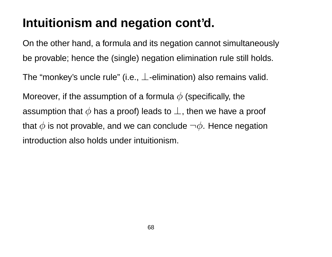### **Intuitionism and negation cont'd.**

On the other hand, a formula and its negation cannot simultaneously be provable; hence the (single) negation elimination rule still holds.

The "monkey's uncle rule" (i.e.,  $\perp$ -elimination) also remains valid.

Moreover, if the assumption of a formula  $\phi$  (specifically, the assumption that  $\phi$  has a proof) leads to  $\perp$ , then we have a proof that  $\phi$  is not provable, and we can conclude  $\neg \phi$ . Hence negation introduction also holds under intuitionism.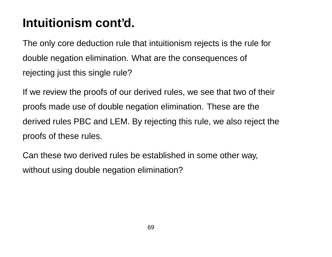### **Intuitionism cont'd.**

The only core deduction rule that intuitionism rejects is the rule for double negation elimination. What are the consequences of rejecting just this single rule?

If we review the proofs of our derived rules, we see that two of their proofs made use of double negation elimination. These are the derived rules PBC and LEM. By rejecting this rule, we also reject the proofs of these rules.

Can these two derived rules be established in some other way, without using double negation elimination?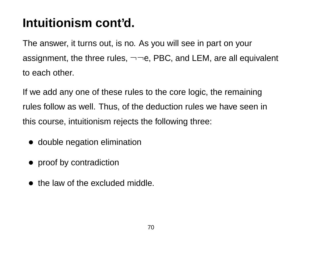### **Intuitionism cont'd.**

The answer, it turns out, is no. As you will see in part on your assignment, the three rules,  $\neg\neg e$ , PBC, and LEM, are all equivalent to each other.

If we add any one of these rules to the core logic, the remaining rules follow as well. Thus, of the deduction rules we have seen in this course, intuitionism rejects the following three:

- double negation elimination
- proof by contradiction
- the law of the excluded middle.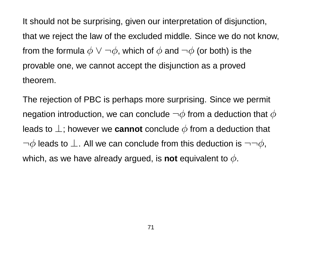It should not be surprising, given our interpretation of disjunction, that we reject the law of the excluded middle. Since we do not know, from the formula  $\phi \vee \neg \phi$ , which of  $\phi$  and  $\neg \phi$  (or both) is the provable one, we cannot accept the disjunction as a proved theorem.

The rejection of PBC is perhaps more surprising. Since we permit negation introduction, we can conclude  $\neg \phi$  from a deduction that  $\phi$ leads to  $\perp$ ; however we **cannot** conclude  $\phi$  from a deduction that  $\neg \phi$  leads to  $\bot$ . All we can conclude from this deduction is  $\neg \neg \phi$ , which, as we have already argued, is **not** equivalent to  $\phi$ .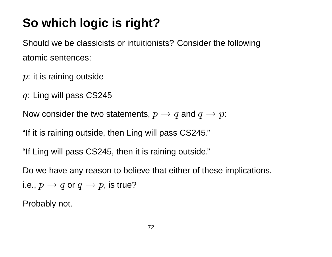# **So which logic is right?**

Should we be classicists or intuitionists? Consider the following atomic sentences:

 $p$ : it is raining outside

q: Ling will pass CS245

Now consider the two statements,  $p \rightarrow q$  and  $q \rightarrow p$ :

"If it is raining outside, then Ling will pass CS245."

"If Ling will pass CS245, then it is raining outside."

Do we have any reason to believe that either of these implications, i.e.,  $p \rightarrow q$  or  $q \rightarrow p$ , is true?

Probably not.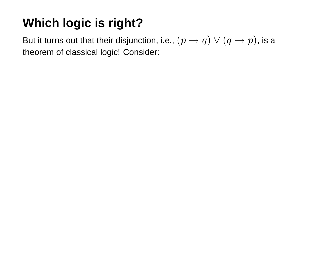# **Which logic is right?**

But it turns out that their disjunction, i.e.,  $(p \to q) \lor (q \to p)$ , is a theorem of classical logic! Consider: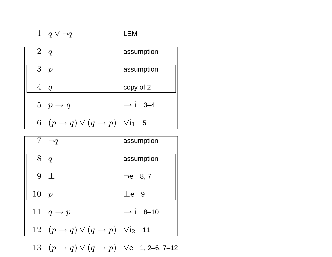| $2\quad q$                                                           | assumption          |
|----------------------------------------------------------------------|---------------------|
| 3 p                                                                  | assumption          |
| $4\ q$                                                               | copy of 2           |
| $5\quad p \rightarrow q$                                             | $\rightarrow$ i 3-4 |
| 6 $(p \rightarrow q) \vee (q \rightarrow p)$ $\vee$ i <sub>1</sub> 5 |                     |

|      | $7 \neg q$                                                             | assumption           |
|------|------------------------------------------------------------------------|----------------------|
| 8q   |                                                                        | assumption           |
|      | $9+$                                                                   | $\neg$ e 8,7         |
| 10 p |                                                                        | $\perp$ e 9          |
|      | 11 $q \rightarrow p$                                                   | $\rightarrow$ i 8-10 |
|      | 12 $(p \rightarrow q) \vee (q \rightarrow p)$ $\vee$ i <sub>2</sub> 11 |                      |
|      |                                                                        |                      |

13  $(p \to q) \lor (q \to p)$   $\lor$  e 1, 2–6, 7–12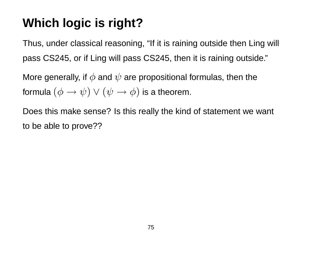## **Which logic is right?**

Thus, under classical reasoning, "If it is raining outside then Ling will pass CS245, or if Ling will pass CS245, then it is raining outside."

More generally, if  $\phi$  and  $\psi$  are propositional formulas, then the formula  $(\phi \rightarrow \psi) \vee (\psi \rightarrow \phi)$  is a theorem.

Does this make sense? Is this really the kind of statement we want to be able to prove??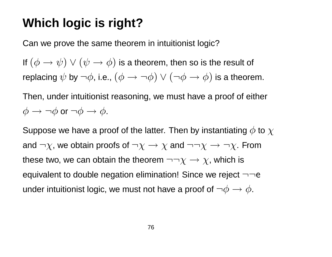#### **Which logic is right?**

Can we prove the same theorem in intuitionist logic?

If  $(\phi \to \psi) \lor (\psi \to \phi)$  is a theorem, then so is the result of replacing  $\psi$  by  $\neg \phi$ , i.e.,  $(\phi \rightarrow \neg \phi) \vee (\neg \phi \rightarrow \phi)$  is a theorem.

Then, under intuitionist reasoning, we must have a proof of either  $\phi \rightarrow \neg \phi$  or  $\neg \phi \rightarrow \phi$ .

Suppose we have a proof of the latter. Then by instantiating  $\phi$  to  $\chi$ and  $\neg \chi$ , we obtain proofs of  $\neg \chi \rightarrow \chi$  and  $\neg \neg \chi \rightarrow \neg \chi$ . From these two, we can obtain the theorem  $\neg\neg \chi \rightarrow \chi$ , which is equivalent to double negation elimination! Since we reject  $\neg\neg$ e under intuitionist logic, we must not have a proof of  $\neg \phi \rightarrow \phi$ .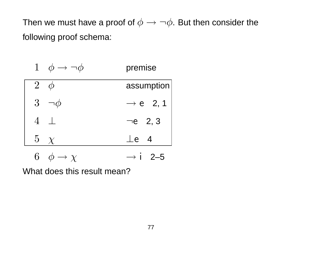Then we must have a proof of  $\phi \rightarrow \neg \phi$ . But then consider the following proof schema:

| 1 $\phi \rightarrow \neg \phi$ | premise              |
|--------------------------------|----------------------|
| $2^{-}$                        | assumption           |
| $3 \neg \phi$                  | $\rightarrow e$ 2, 1 |
| $4$ $\perp$                    | $\neg$ e 2, 3        |
| $5 \chi$                       | $\perp$ e 4          |
| 6<br>$\phi \rightarrow \chi$   | $\rightarrow$ 1 2-5  |

What does this result mean?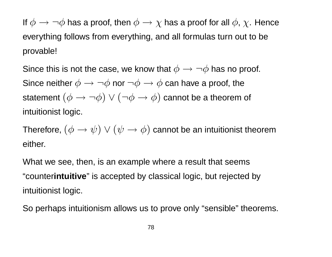If  $\phi \to \neg \phi$  has a proof, then  $\phi \to \chi$  has a proof for all  $\phi$ ,  $\chi$ . Hence everything follows from everything, and all formulas turn out to be provable!

Since this is not the case, we know that  $\phi \rightarrow \neg \phi$  has no proof. Since neither  $\phi \rightarrow \neg \phi$  nor  $\neg \phi \rightarrow \phi$  can have a proof, the statement  $(\phi \rightarrow \neg \phi) \lor (\neg \phi \rightarrow \phi)$  cannot be a theorem of intuitionist logic.

Therefore,  $(\phi \rightarrow \psi) \vee (\psi \rightarrow \phi)$  cannot be an intuitionist theorem either.

What we see, then, is an example where a result that seems "counter**intuitive**" is accepted by classical logic, but rejected by intuitionist logic.

So perhaps intuitionism allows us to prove only "sensible" theorems.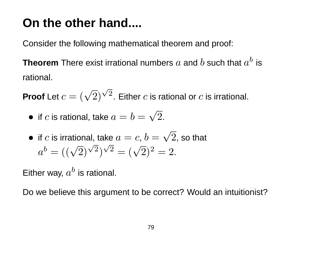### **On the other hand....**

Consider the following mathematical theorem and proof:

**Theorem** There exist irrational numbers  $a$  and  $b$  such that  $a^b$  is rational.

**Proof** Let  $c = (\sqrt{2})^{\sqrt{2}}$ . Either c is rational or c is irrational. √ √

• if c is rational, take 
$$
a = b = \sqrt{2}
$$
.

• if *c* is irrational, take 
$$
a = c
$$
,  $b = \sqrt{2}$ , so that 
$$
a^b = ((\sqrt{2})^{\sqrt{2}})^{\sqrt{2}} = (\sqrt{2})^2 = 2.
$$

Either way,  $a^b$  is rational.

Do we believe this argument to be correct? Would an intuitionist?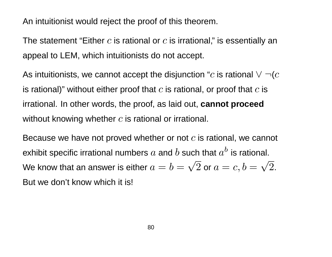An intuitionist would reject the proof of this theorem.

The statement "Either  $c$  is rational or  $c$  is irrational," is essentially an appeal to LEM, which intuitionists do not accept.

As intuitionists, we cannot accept the disjunction "c is rational  $\vee \neg (c)$ is rational)" without either proof that  $c$  is rational, or proof that  $c$  is irrational. In other words, the proof, as laid out, **cannot proceed** without knowing whether  $c$  is rational or irrational.

Because we have not proved whether or not  $c$  is rational, we cannot exhibit specific irrational numbers  $a$  and  $b$  such that  $a^b$  is rational. We know that an answer is either  $a=b=\sqrt{2}$  or  $a=c,b=\sqrt{2}.$ But we don't know which it is!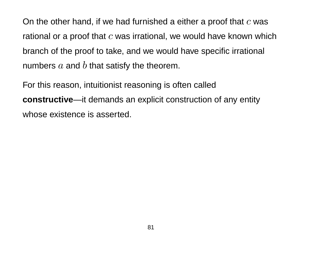On the other hand, if we had furnished a either a proof that  $c$  was rational or a proof that  $c$  was irrational, we would have known which branch of the proof to take, and we would have specific irrational numbers  $a$  and  $b$  that satisfy the theorem.

For this reason, intuitionist reasoning is often called **constructive**—it demands an explicit construction of any entity whose existence is asserted.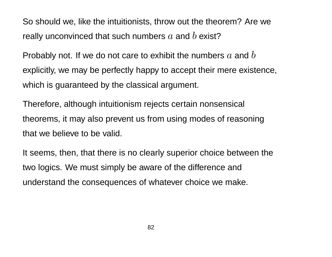So should we, like the intuitionists, throw out the theorem? Are we really unconvinced that such numbers  $a$  and  $b$  exist?

Probably not. If we do not care to exhibit the numbers  $a$  and  $b$ explicitly, we may be perfectly happy to accept their mere existence, which is guaranteed by the classical argument.

Therefore, although intuitionism rejects certain nonsensical theorems, it may also prevent us from using modes of reasoning that we believe to be valid.

It seems, then, that there is no clearly superior choice between the two logics. We must simply be aware of the difference and understand the consequences of whatever choice we make.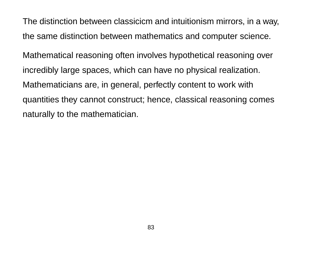The distinction between classicicm and intuitionism mirrors, in a way, the same distinction between mathematics and computer science.

Mathematical reasoning often involves hypothetical reasoning over incredibly large spaces, which can have no physical realization. Mathematicians are, in general, perfectly content to work with quantities they cannot construct; hence, classical reasoning comes naturally to the mathematician.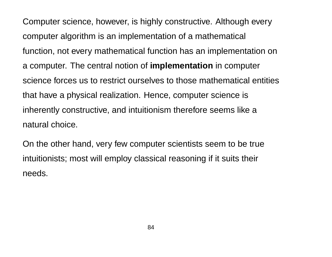Computer science, however, is highly constructive. Although every computer algorithm is an implementation of a mathematical function, not every mathematical function has an implementation on a computer. The central notion of **implementation** in computer science forces us to restrict ourselves to those mathematical entities that have a physical realization. Hence, computer science is inherently constructive, and intuitionism therefore seems like a natural choice.

On the other hand, very few computer scientists seem to be true intuitionists; most will employ classical reasoning if it suits their needs.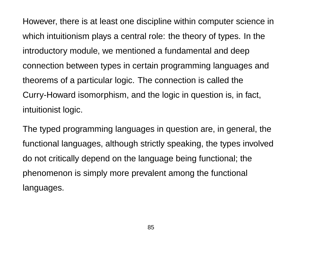However, there is at least one discipline within computer science in which intuitionism plays a central role: the theory of types. In the introductory module, we mentioned a fundamental and deep connection between types in certain programming languages and theorems of a particular logic. The connection is called the Curry-Howard isomorphism, and the logic in question is, in fact, intuitionist logic.

The typed programming languages in question are, in general, the functional languages, although strictly speaking, the types involved do not critically depend on the language being functional; the phenomenon is simply more prevalent among the functional languages.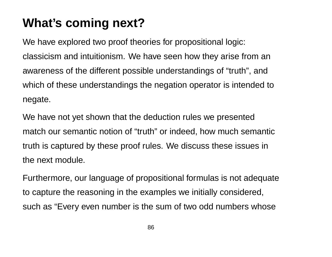## **What's coming next?**

We have explored two proof theories for propositional logic: classicism and intuitionism. We have seen how they arise from an awareness of the different possible understandings of "truth", and which of these understandings the negation operator is intended to negate.

We have not yet shown that the deduction rules we presented match our semantic notion of "truth" or indeed, how much semantic truth is captured by these proof rules. We discuss these issues in the next module.

Furthermore, our language of propositional formulas is not adequate to capture the reasoning in the examples we initially considered, such as "Every even number is the sum of two odd numbers whose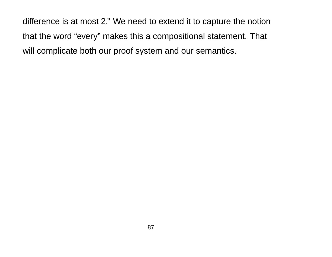difference is at most 2." We need to extend it to capture the notion that the word "every" makes this a compositional statement. That will complicate both our proof system and our semantics.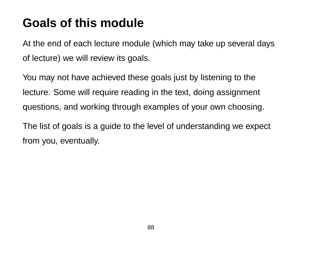### **Goals of this module**

At the end of each lecture module (which may take up several days of lecture) we will review its goals.

You may not have achieved these goals just by listening to the lecture. Some will require reading in the text, doing assignment questions, and working through examples of your own choosing.

The list of goals is a guide to the level of understanding we expect from you, eventually.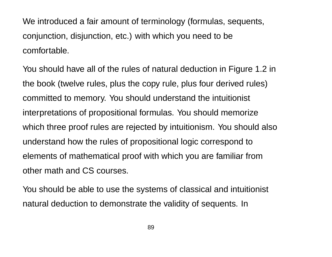We introduced a fair amount of terminology (formulas, sequents, conjunction, disjunction, etc.) with which you need to be comfortable.

You should have all of the rules of natural deduction in Figure 1.2 in the book (twelve rules, plus the copy rule, plus four derived rules) committed to memory. You should understand the intuitionist interpretations of propositional formulas. You should memorize which three proof rules are rejected by intuitionism. You should also understand how the rules of propositional logic correspond to elements of mathematical proof with which you are familiar from other math and CS courses.

You should be able to use the systems of classical and intuitionist natural deduction to demonstrate the validity of sequents. In